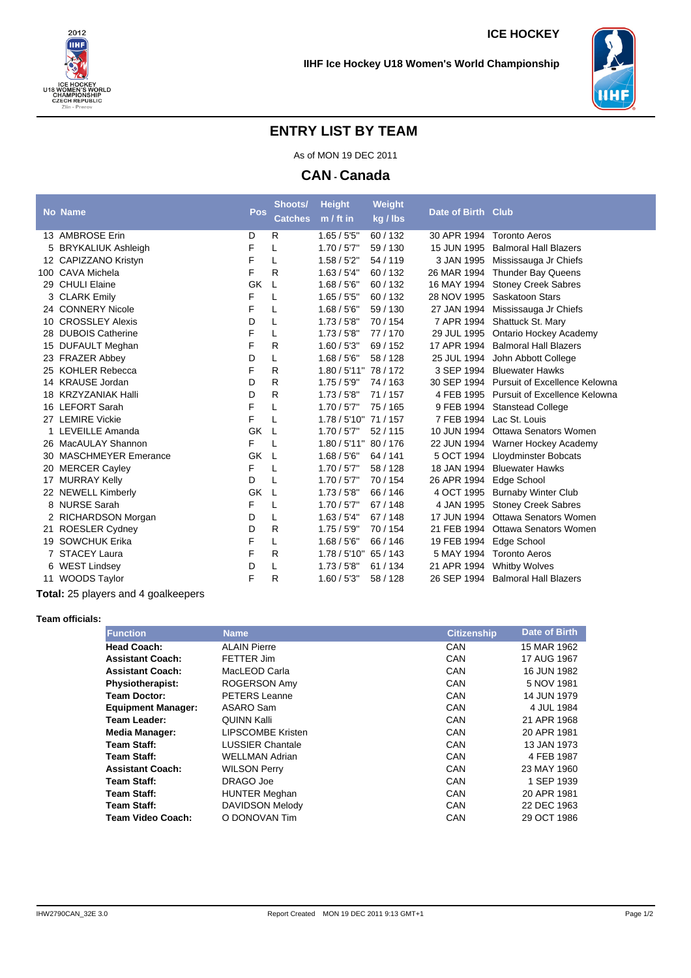



## **ENTRY LIST BY TEAM**

As of MON 19 DEC 2011

**CAN - Canada**

|    | <b>No Name</b>             | Pos | Shoots/        | <b>Height</b> | Weight   | Date of Birth Club |                                           |
|----|----------------------------|-----|----------------|---------------|----------|--------------------|-------------------------------------------|
|    |                            |     | <b>Catches</b> | $m / ft$ in   | kg / lbs |                    |                                           |
|    | 13 AMBROSE Erin            | D   | R              | $1.65 / 55$ " | 60/132   | 30 APR 1994        | <b>Toronto Aeros</b>                      |
|    | BRYKALIUK Ashleigh         | F   | L              | 1.70/5'7"     | 59/130   | 15 JUN 1995        | <b>Balmoral Hall Blazers</b>              |
|    | 12 CAPIZZANO Kristyn       | F   | L              | 1.58 / 5'2"   | 54 / 119 | 3 JAN 1995         | Mississauga Jr Chiefs                     |
|    | 100 CAVA Michela           | F   | R              | 1.63 / 5'4"   | 60/132   | 26 MAR 1994        | <b>Thunder Bay Queens</b>                 |
|    | 29 CHULI Elaine            | GK  | L              | 1.68 / 5'6''  | 60/132   | 16 MAY 1994        | <b>Stoney Creek Sabres</b>                |
|    | 3 CLARK Emily              | F   | L              | 1.65 / 55     | 60/132   | 28 NOV 1995        | Saskatoon Stars                           |
|    | 24 CONNERY Nicole          | F   | L              | 1.68 / 5'6''  | 59/130   | 27 JAN 1994        | Mississauga Jr Chiefs                     |
|    | 10 CROSSLEY Alexis         | D   | L              | 1.73/5'8''    | 70/154   | 7 APR 1994         | Shattuck St. Mary                         |
|    | 28 DUBOIS Catherine        | F   | L              | 1.73/5'8''    | 77/170   | 29 JUL 1995        | Ontario Hockey Academy                    |
|    | 15 DUFAULT Meghan          | F   | R              | 1.60 / 5'3''  | 69/152   | 17 APR 1994        | <b>Balmoral Hall Blazers</b>              |
|    | 23 FRAZER Abbey            | D   | L              | 1.68 / 5'6''  | 58 / 128 | 25 JUL 1994        | John Abbott College                       |
|    | 25 KOHLER Rebecca          | F   | R              | 1.80 / 5'11'' | 78/172   | 3 SEP 1994         | <b>Bluewater Hawks</b>                    |
|    | 14 KRAUSE Jordan           | D   | R              | 1.75/5'9"     | 74 / 163 |                    | 30 SEP 1994 Pursuit of Excellence Kelowna |
|    | 18 KRZYZANIAK Halli        | D   | R              | 1.73/5'8''    | 71/157   | 4 FEB 1995         | Pursuit of Excellence Kelowna             |
|    | 16 LEFORT Sarah            | F   | L              | 1.70/5'7"     | 75 / 165 | 9 FEB 1994         | <b>Stanstead College</b>                  |
| 27 | <b>LEMIRE Vickie</b>       | F   | L              | 1.78 / 5'10'' | 71/157   | 7 FEB 1994         | Lac St. Louis                             |
| 1  | LEVEILLE Amanda            | GK  | L              | 1.70/5'7"     | 52/115   | 10 JUN 1994        | Ottawa Senators Women                     |
|    | 26 MacAULAY Shannon        | F   | L              | 1.80 / 5'11'' | 80/176   |                    | 22 JUN 1994 Warner Hockey Academy         |
| 30 | <b>MASCHMEYER Emerance</b> | GK  | L              | 1.68 / 5'6''  | 64 / 141 | 5 OCT 1994         | <b>Lloydminster Bobcats</b>               |
| 20 | <b>MERCER Cayley</b>       | F   | L              | 1.70/5'7"     | 58 / 128 | 18 JAN 1994        | <b>Bluewater Hawks</b>                    |
| 17 | <b>MURRAY Kelly</b>        | D   | L              | 1.70 / 5'7''  | 70/154   | 26 APR 1994        | Edge School                               |
|    | 22 NEWELL Kimberly         | GK  | L              | 1.73/5'8''    | 66 / 146 | 4 OCT 1995         | <b>Burnaby Winter Club</b>                |
|    | 8 NURSE Sarah              | F   | L              | 1.70/5'7"     | 67/148   | 4 JAN 1995         | <b>Stoney Creek Sabres</b>                |
|    | 2 RICHARDSON Morgan        | D   | L              | 1.63 / 5'4"   | 67/148   | 17 JUN 1994        | Ottawa Senators Women                     |
| 21 | <b>ROESLER Cydney</b>      | D   | R              | 1.75/5'9"     | 70/154   | 21 FEB 1994        | <b>Ottawa Senators Women</b>              |
|    | 19 SOWCHUK Erika           | F   | L              | 1.68 / 5'6''  | 66/146   | 19 FEB 1994        | Edge School                               |
|    | <b>STACEY Laura</b>        | F   | $\mathsf{R}$   | 1.78/5'10''   | 65 / 143 | 5 MAY 1994         | <b>Toronto Aeros</b>                      |
|    | 6 WEST Lindsey             | D   | L              | 1.73/5'8''    | 61 / 134 | 21 APR 1994        | <b>Whitby Wolves</b>                      |
|    | 11 WOODS Taylor            | F   | R              | 1.60 / 5'3''  | 58 / 128 |                    | 26 SEP 1994 Balmoral Hall Blazers         |
|    |                            |     |                |               |          |                    |                                           |

**Total:** 25 players and 4 goalkeepers

## **Team officials:**

| <b>Function</b>           | <b>Name</b>              | <b>Citizenship</b> | Date of Birth |
|---------------------------|--------------------------|--------------------|---------------|
| <b>Head Coach:</b>        | <b>ALAIN Pierre</b>      | CAN                | 15 MAR 1962   |
| <b>Assistant Coach:</b>   | FETTER Jim               | CAN                | 17 AUG 1967   |
| <b>Assistant Coach:</b>   | MacLEOD Carla            | CAN                | 16 JUN 1982   |
| <b>Physiotherapist:</b>   | ROGERSON Amy             | CAN                | 5 NOV 1981    |
| Team Doctor:              | <b>PETERS Leanne</b>     | CAN                | 14 JUN 1979   |
| <b>Equipment Manager:</b> | ASARO Sam                | CAN                | 4 JUL 1984    |
| Team Leader:              | <b>QUINN Kalli</b>       | CAN                | 21 APR 1968   |
| <b>Media Manager:</b>     | <b>LIPSCOMBE Kristen</b> | CAN                | 20 APR 1981   |
| Team Staff:               | <b>LUSSIER Chantale</b>  | CAN                | 13 JAN 1973   |
| Team Staff:               | <b>WELLMAN Adrian</b>    | CAN                | 4 FEB 1987    |
| <b>Assistant Coach:</b>   | <b>WILSON Perry</b>      | CAN                | 23 MAY 1960   |
| Team Staff:               | DRAGO Joe                | CAN                | 1 SEP 1939    |
| Team Staff:               | <b>HUNTER Meghan</b>     | CAN                | 20 APR 1981   |
| Team Staff:               | <b>DAVIDSON Melody</b>   | CAN                | 22 DEC 1963   |
| Team Video Coach:         | O DONOVAN Tim            | CAN                | 29 OCT 1986   |
|                           |                          |                    |               |